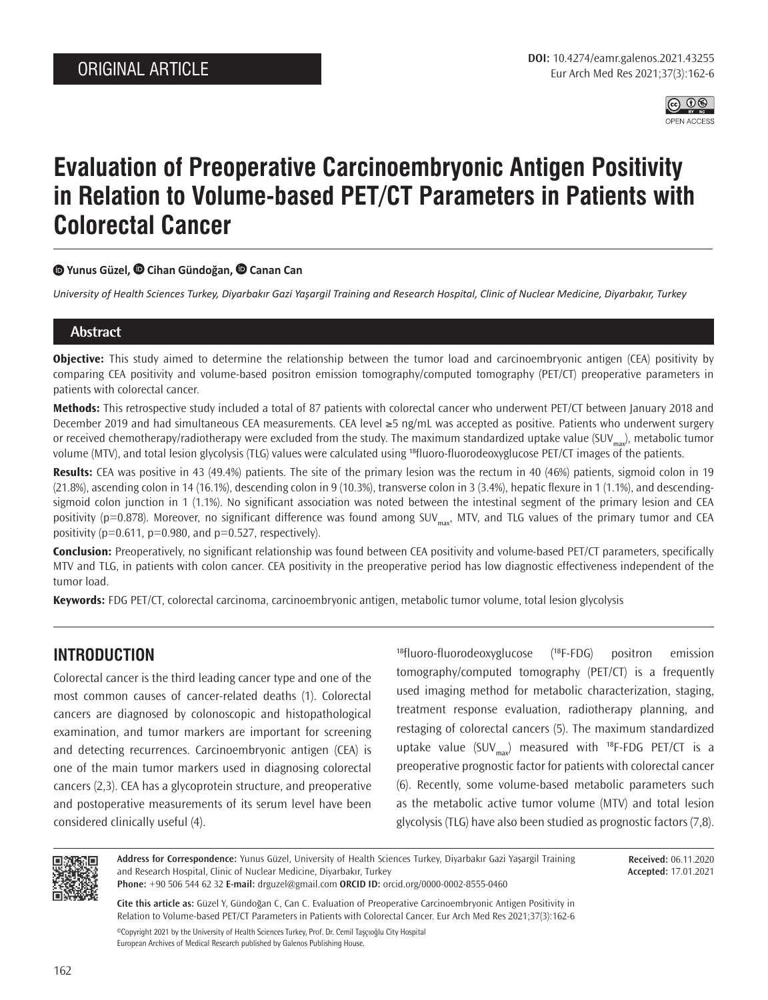

# **Evaluation of Preoperative Carcinoembryonic Antigen Positivity in Relation to Volume-based PET/CT Parameters in Patients with Colorectal Cancer**

## **Yunus Güzel,Cihan Gündoğan,Canan Can**

*University of Health Sciences Turkey, Diyarbakır Gazi Yaşargil Training and Research Hospital, Clinic of Nuclear Medicine, Diyarbakır, Turkey*

## **Abstract**

**Objective:** This study aimed to determine the relationship between the tumor load and carcinoembryonic antigen (CEA) positivity by comparing CEA positivity and volume-based positron emission tomography/computed tomography (PET/CT) preoperative parameters in patients with colorectal cancer.

**Methods:** This retrospective study included a total of 87 patients with colorectal cancer who underwent PET/CT between January 2018 and December 2019 and had simultaneous CEA measurements. CEA level ≥5 ng/mL was accepted as positive. Patients who underwent surgery or received chemotherapy/radiotherapy were excluded from the study. The maximum standardized uptake value (SUV<sub>max</sub>), metabolic tumor volume (MTV), and total lesion glycolysis (TLG) values were calculated using <sup>18</sup>fluoro-fluorodeoxyglucose PET/CT images of the patients.

**Results:** CEA was positive in 43 (49.4%) patients. The site of the primary lesion was the rectum in 40 (46%) patients, sigmoid colon in 19 (21.8%), ascending colon in 14 (16.1%), descending colon in 9 (10.3%), transverse colon in 3 (3.4%), hepatic flexure in 1 (1.1%), and descendingsigmoid colon junction in 1 (1.1%). No significant association was noted between the intestinal segment of the primary lesion and CEA positivity (p=0.878). Moreover, no significant difference was found among SUV<sub>max</sub>, MTV, and TLG values of the primary tumor and CEA positivity ( $p=0.611$ ,  $p=0.980$ , and  $p=0.527$ , respectively).

**Conclusion:** Preoperatively, no significant relationship was found between CEA positivity and volume-based PET/CT parameters, specifically MTV and TLG, in patients with colon cancer. CEA positivity in the preoperative period has low diagnostic effectiveness independent of the tumor load.

**Keywords:** FDG PET/CT, colorectal carcinoma, carcinoembryonic antigen, metabolic tumor volume, total lesion glycolysis

# **INTRODUCTION**

Colorectal cancer is the third leading cancer type and one of the most common causes of cancer-related deaths (1). Colorectal cancers are diagnosed by colonoscopic and histopathological examination, and tumor markers are important for screening and detecting recurrences. Carcinoembryonic antigen (CEA) is one of the main tumor markers used in diagnosing colorectal cancers (2,3). CEA has a glycoprotein structure, and preoperative and postoperative measurements of its serum level have been considered clinically useful (4).

 $18$ fluoro-fluorodeoxyglucose  $(18)$ F-FDG positron emission tomography/computed tomography (PET/CT) is a frequently used imaging method for metabolic characterization, staging, treatment response evaluation, radiotherapy planning, and restaging of colorectal cancers (5). The maximum standardized uptake value (SUV<sub>max</sub>) measured with <sup>18</sup>F-FDG PET/CT is a preoperative prognostic factor for patients with colorectal cancer (6). Recently, some volume-based metabolic parameters such as the metabolic active tumor volume (MTV) and total lesion glycolysis (TLG) have also been studied as prognostic factors (7,8).



**Address for Correspondence:** Yunus Güzel, University of Health Sciences Turkey, Diyarbakır Gazi Yaşargil Training and Research Hospital, Clinic of Nuclear Medicine, Diyarbakır, Turkey **Phone:** +90 506 544 62 32 **E-mail:** drguzel@gmail.com **ORCID ID:** orcid.org/0000-0002-8555-0460

**Received:** 06.11.2020 **Accepted:** 17.01.2021

**Cite this article as:** Güzel Y, Gündoğan C, Can C. Evaluation of Preoperative Carcinoembryonic Antigen Positivity in Relation to Volume-based PET/CT Parameters in Patients with Colorectal Cancer. Eur Arch Med Res 2021;37(3):162-6 ©Copyright 2021 by the University of Health Sciences Turkey, Prof. Dr. Cemil Taşçıoğlu City Hospital

European Archives of Medical Research published by Galenos Publishing House.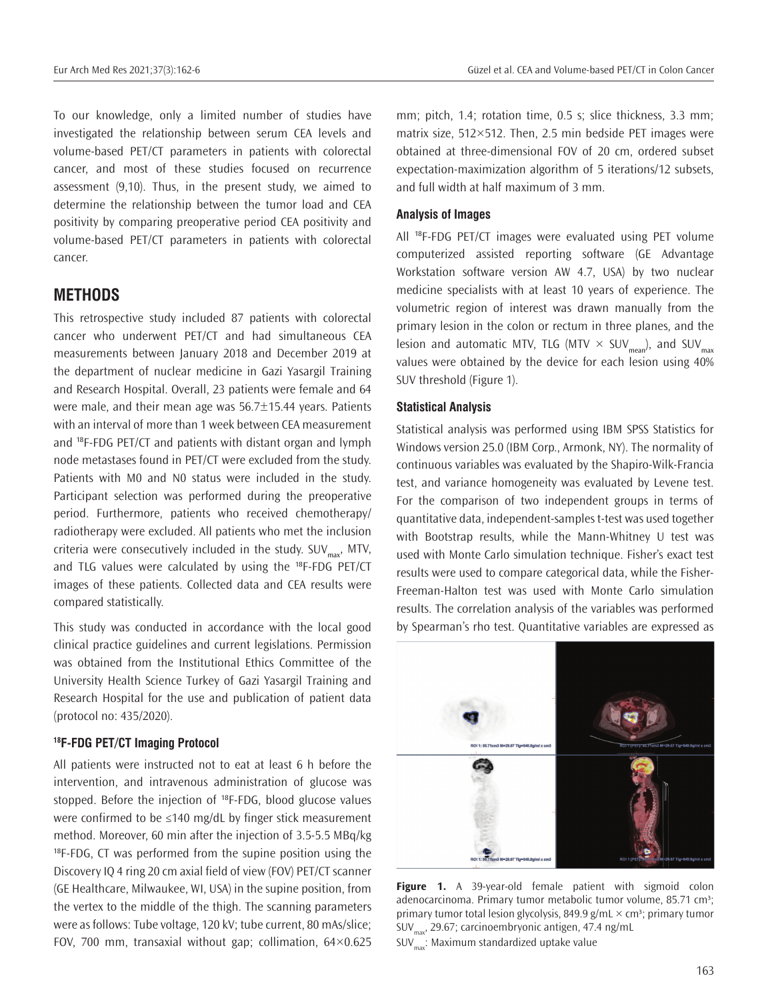To our knowledge, only a limited number of studies have investigated the relationship between serum CEA levels and volume-based PET/CT parameters in patients with colorectal cancer, and most of these studies focused on recurrence assessment (9,10). Thus, in the present study, we aimed to determine the relationship between the tumor load and CEA positivity by comparing preoperative period CEA positivity and volume-based PET/CT parameters in patients with colorectal cancer.

## **METHODS**

This retrospective study included 87 patients with colorectal cancer who underwent PET/CT and had simultaneous CEA measurements between January 2018 and December 2019 at the department of nuclear medicine in Gazi Yasargil Training and Research Hospital. Overall, 23 patients were female and 64 were male, and their mean age was 56.7±15.44 years. Patients with an interval of more than 1 week between CEA measurement and <sup>18</sup>F-FDG PET/CT and patients with distant organ and lymph node metastases found in PET/CT were excluded from the study. Patients with M0 and N0 status were included in the study. Participant selection was performed during the preoperative period. Furthermore, patients who received chemotherapy/ radiotherapy were excluded. All patients who met the inclusion criteria were consecutively included in the study.  $\text{SUV}_{\text{max}}$ , MTV, and TLG values were calculated by using the <sup>18</sup>F-FDG PET/CT images of these patients. Collected data and CEA results were compared statistically.

This study was conducted in accordance with the local good clinical practice guidelines and current legislations. Permission was obtained from the Institutional Ethics Committee of the University Health Science Turkey of Gazi Yasargil Training and Research Hospital for the use and publication of patient data (protocol no: 435/2020).

### **18F-FDG PET/CT Imaging Protocol**

All patients were instructed not to eat at least 6 h before the intervention, and intravenous administration of glucose was stopped. Before the injection of <sup>18</sup>F-FDG, blood glucose values were confirmed to be ≤140 mg/dL by finger stick measurement method. Moreover, 60 min after the injection of 3.5-5.5 MBq/kg  $18F-FDG$ , CT was performed from the supine position using the Discovery IQ 4 ring 20 cm axial field of view (FOV) PET/CT scanner (GE Healthcare, Milwaukee, WI, USA) in the supine position, from the vertex to the middle of the thigh. The scanning parameters were as follows: Tube voltage, 120 kV; tube current, 80 mAs/slice; FOV, 700 mm, transaxial without gap; collimation, 64×0.625

mm; pitch, 1.4; rotation time, 0.5 s; slice thickness, 3.3 mm; matrix size, 512×512. Then, 2.5 min bedside PET images were obtained at three-dimensional FOV of 20 cm, ordered subset expectation-maximization algorithm of 5 iterations/12 subsets, and full width at half maximum of 3 mm.

#### **Analysis of Images**

All <sup>18</sup>F-FDG PET/CT images were evaluated using PET volume computerized assisted reporting software (GE Advantage Workstation software version AW 4.7, USA) by two nuclear medicine specialists with at least 10 years of experience. The volumetric region of interest was drawn manually from the primary lesion in the colon or rectum in three planes, and the lesion and automatic MTV, TLG (MTV  $\times$  SUV<sub>max</sub>), and SUV<sub>max</sub> values were obtained by the device for each lesion using 40% SUV threshold (Figure 1).

#### **Statistical Analysis**

Statistical analysis was performed using IBM SPSS Statistics for Windows version 25.0 (IBM Corp., Armonk, NY). The normality of continuous variables was evaluated by the Shapiro-Wilk-Francia test, and variance homogeneity was evaluated by Levene test. For the comparison of two independent groups in terms of quantitative data, independent-samples t-test was used together with Bootstrap results, while the Mann-Whitney U test was used with Monte Carlo simulation technique. Fisher's exact test results were used to compare categorical data, while the Fisher-Freeman-Halton test was used with Monte Carlo simulation results. The correlation analysis of the variables was performed by Spearman's rho test. Quantitative variables are expressed as



**Figure 1.** A 39-year-old female patient with sigmoid colon adenocarcinoma. Primary tumor metabolic tumor volume, 85.71 cm<sup>3</sup>; primary tumor total lesion glycolysis, 849.9 g/mL  $\times$  cm<sup>3</sup>; primary tumor SUV $_{\text{max}}$ , 29.67; carcinoembryonic antigen, 47.4 ng/mL  $SUV_{\text{max}}$ : Maximum standardized uptake value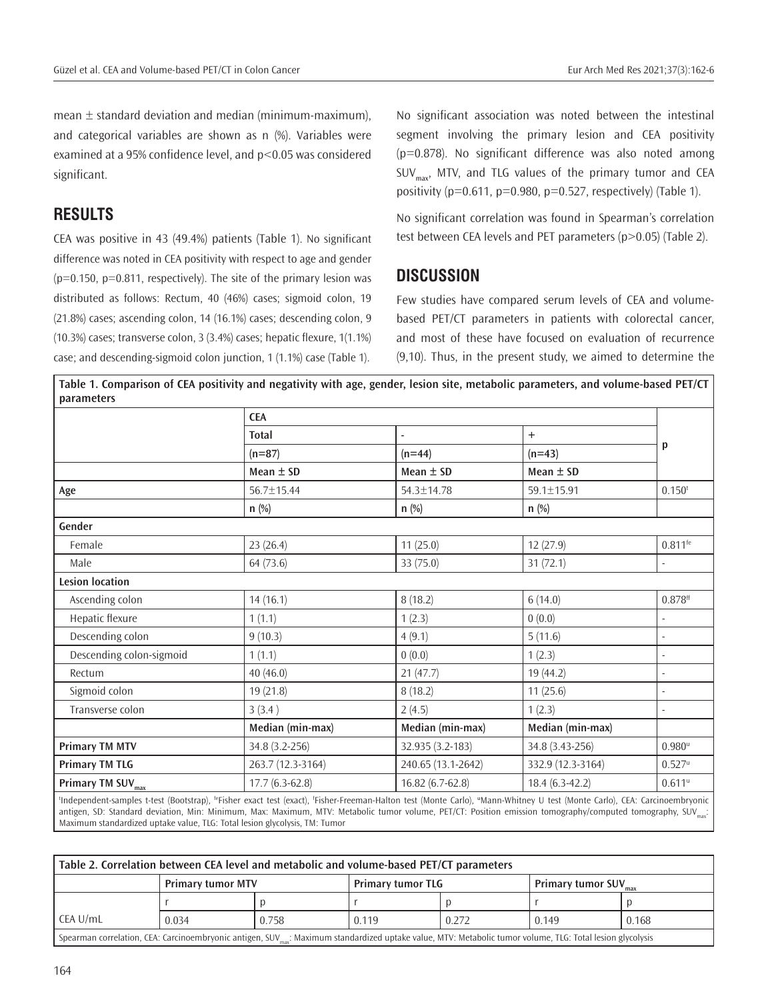mean  $\pm$  standard deviation and median (minimum-maximum), and categorical variables are shown as n (%). Variables were examined at a 95% confidence level, and p<0.05 was considered significant.

## **RESULTS**

CEA was positive in 43 (49.4%) patients (Table 1). No significant difference was noted in CEA positivity with respect to age and gender  $(p=0.150, p=0.811,$  respectively). The site of the primary lesion was distributed as follows: Rectum, 40 (46%) cases; sigmoid colon, 19 (21.8%) cases; ascending colon, 14 (16.1%) cases; descending colon, 9 (10.3%) cases; transverse colon, 3 (3.4%) cases; hepatic flexure, 1(1.1%) case; and descending-sigmoid colon junction, 1 (1.1%) case (Table 1).

No significant association was noted between the intestinal segment involving the primary lesion and CEA positivity (p=0.878). No significant difference was also noted among  $SUV_{\text{max}}$ , MTV, and TLG values of the primary tumor and CEA positivity ( $p=0.611$ ,  $p=0.980$ ,  $p=0.527$ , respectively) (Table 1).

No significant correlation was found in Spearman's correlation test between CEA levels and PET parameters (p>0.05) (Table 2).

## **DISCUSSION**

Few studies have compared serum levels of CEA and volumebased PET/CT parameters in patients with colorectal cancer, and most of these have focused on evaluation of recurrence (9,10). Thus, in the present study, we aimed to determine the

**Table 1. Comparison of CEA positivity and negativity with age, gender, lesion site, metabolic parameters, and volume-based PET/CT parameters**

|                               | <b>CEA</b>        |                          |                   |                       |  |
|-------------------------------|-------------------|--------------------------|-------------------|-----------------------|--|
|                               | <b>Total</b>      | $\overline{\phantom{a}}$ | $+$<br>$(n=43)$   | p                     |  |
|                               | $(n=87)$          | $(n=44)$                 |                   |                       |  |
|                               | Mean $\pm$ SD     | Mean $\pm$ SD            | Mean $\pm$ SD     |                       |  |
| Age                           | 56.7±15.44        | 54.3±14.78               | 59.1±15.91        | 0.150 <sup>t</sup>    |  |
|                               | $n$ (%)           | $n$ (%)                  | $n$ (%)           |                       |  |
| Gender                        |                   |                          |                   |                       |  |
| Female                        | 23(26.4)          | 11(25.0)                 | 12(27.9)          | $0.811$ <sup>fe</sup> |  |
| Male                          | 64 (73.6)         | 33(75.0)                 | 31(72.1)          |                       |  |
| <b>Lesion location</b>        |                   |                          |                   |                       |  |
| Ascending colon               | 14(16.1)          | 8(18.2)                  | 6(14.0)           | $0.878$ <sup>ff</sup> |  |
| Hepatic flexure               | 1(1.1)            | 1(2.3)                   | 0(0.0)            |                       |  |
| Descending colon              | 9(10.3)           | 4(9.1)                   | 5(11.6)           |                       |  |
| Descending colon-sigmoid      | 1(1.1)            | 0(0.0)                   | 1(2.3)            |                       |  |
| Rectum                        | 40(46.0)          | 21(47.7)                 | 19 (44.2)         |                       |  |
| Sigmoid colon                 | 19(21.8)          | 8(18.2)                  | 11(25.6)          |                       |  |
| Transverse colon              | 3(3.4)            | 2(4.5)                   | 1(2.3)            |                       |  |
|                               | Median (min-max)  | Median (min-max)         | Median (min-max)  |                       |  |
| <b>Primary TM MTV</b>         | 34.8 (3.2-256)    | 32.935 (3.2-183)         | 34.8 (3.43-256)   | $0.980^u$             |  |
| <b>Primary TM TLG</b>         | 263.7 (12.3-3164) | 240.65 (13.1-2642)       | 332.9 (12.3-3164) | $0.527^u$             |  |
| Primary TM SUV <sub>max</sub> | $17.7(6.3-62.8)$  | 16.82 (6.7-62.8)         | $18.4(6.3-42.2)$  | $0.611^u$             |  |

antigen, SD: Standard deviation, Min: Minimum, Max: Maximum, MTV: Metabolic tumor volume, PET/CT: Position emission tomography/computed tomography, SUV Maximum standardized uptake value, TLG: Total lesion glycolysis, TM: Tumor

| Table 2. Correlation between CEA level and metabolic and volume-based PET/CT parameters                                                                                |                          |       |                          |       |                          |       |  |  |  |  |
|------------------------------------------------------------------------------------------------------------------------------------------------------------------------|--------------------------|-------|--------------------------|-------|--------------------------|-------|--|--|--|--|
|                                                                                                                                                                        | <b>Primary tumor MTV</b> |       | <b>Primary tumor TLG</b> |       | <b>Primary tumor SUV</b> |       |  |  |  |  |
|                                                                                                                                                                        |                          |       |                          |       |                          |       |  |  |  |  |
| l CEA U/mL                                                                                                                                                             | 0.034                    | 0.758 | 0.119                    | 0.272 | 0.149                    | 0.168 |  |  |  |  |
| Spearman correlation, CEA: Carcinoembryonic antigen, SUV <sub>max</sub> : Maximum standardized uptake value, MTV: Metabolic tumor volume, TLG: Total lesion glycolysis |                          |       |                          |       |                          |       |  |  |  |  |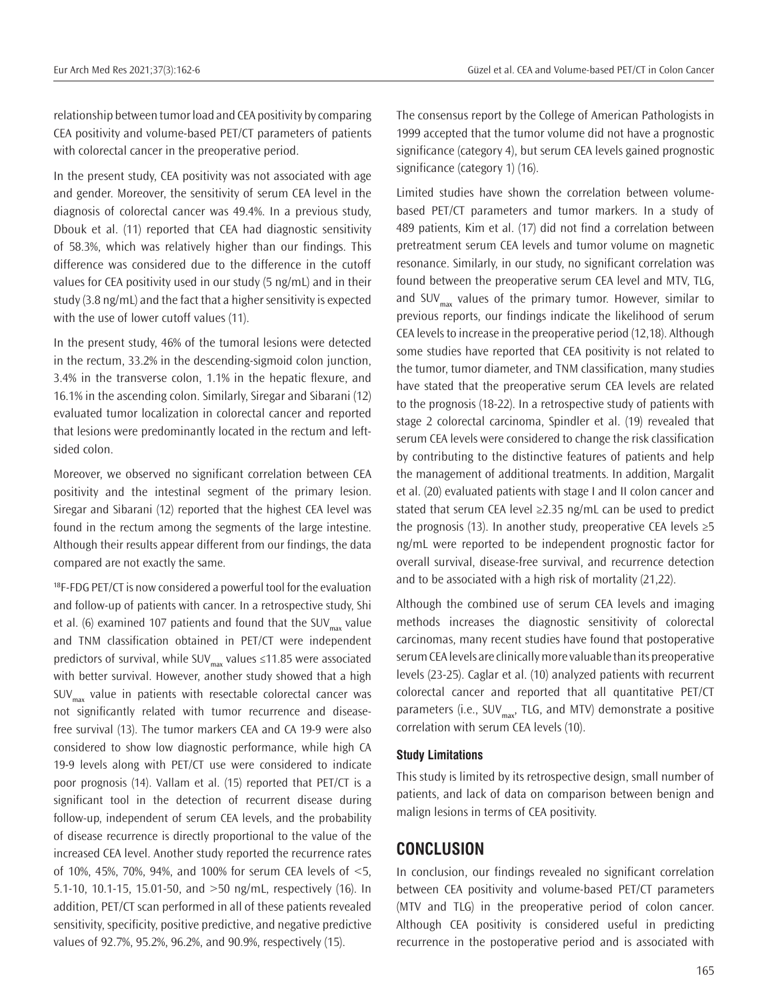relationship between tumor load and CEA positivity by comparing CEA positivity and volume-based PET/CT parameters of patients with colorectal cancer in the preoperative period.

In the present study, CEA positivity was not associated with age and gender. Moreover, the sensitivity of serum CEA level in the diagnosis of colorectal cancer was 49.4%. In a previous study, Dbouk et al. (11) reported that CEA had diagnostic sensitivity of 58.3%, which was relatively higher than our findings. This difference was considered due to the difference in the cutoff values for CEA positivity used in our study (5 ng/mL) and in their study (3.8 ng/mL) and the fact that a higher sensitivity is expected with the use of lower cutoff values (11).

In the present study, 46% of the tumoral lesions were detected in the rectum, 33.2% in the descending-sigmoid colon junction, 3.4% in the transverse colon, 1.1% in the hepatic flexure, and 16.1% in the ascending colon. Similarly, Siregar and Sibarani (12) evaluated tumor localization in colorectal cancer and reported that lesions were predominantly located in the rectum and leftsided colon.

Moreover, we observed no significant correlation between CEA positivity and the intestinal segment of the primary lesion. Siregar and Sibarani (12) reported that the highest CEA level was found in the rectum among the segments of the large intestine. Although their results appear different from our findings, the data compared are not exactly the same.

<sup>18</sup>F-FDG PET/CT is now considered a powerful tool for the evaluation and follow-up of patients with cancer. In a retrospective study, Shi et al. (6) examined 107 patients and found that the SUV<sub>max</sub> value and TNM classification obtained in PET/CT were independent predictors of survival, while SUV $_{max}$  values ≤11.85 were associated with better survival. However, another study showed that a high  $SUV_{max}$  value in patients with resectable colorectal cancer was not significantly related with tumor recurrence and diseasefree survival (13). The tumor markers CEA and CA 19-9 were also considered to show low diagnostic performance, while high CA 19-9 levels along with PET/CT use were considered to indicate poor prognosis (14). Vallam et al. (15) reported that PET/CT is a significant tool in the detection of recurrent disease during follow-up, independent of serum CEA levels, and the probability of disease recurrence is directly proportional to the value of the increased CEA level. Another study reported the recurrence rates of 10%, 45%, 70%, 94%, and 100% for serum CEA levels of <5, 5.1-10, 10.1-15, 15.01-50, and >50 ng/mL, respectively (16). In addition, PET/CT scan performed in all of these patients revealed sensitivity, specificity, positive predictive, and negative predictive values of 92.7%, 95.2%, 96.2%, and 90.9%, respectively (15).

The consensus report by the College of American Pathologists in 1999 accepted that the tumor volume did not have a prognostic significance (category 4), but serum CEA levels gained prognostic significance (category 1) (16).

Limited studies have shown the correlation between volumebased PET/CT parameters and tumor markers. In a study of 489 patients, Kim et al. (17) did not find a correlation between pretreatment serum CEA levels and tumor volume on magnetic resonance. Similarly, in our study, no significant correlation was found between the preoperative serum CEA level and MTV, TLG, and SUV $_{\text{max}}$  values of the primary tumor. However, similar to previous reports, our findings indicate the likelihood of serum CEA levels to increase in the preoperative period (12,18). Although some studies have reported that CEA positivity is not related to the tumor, tumor diameter, and TNM classification, many studies have stated that the preoperative serum CEA levels are related to the prognosis (18-22). In a retrospective study of patients with stage 2 colorectal carcinoma, Spindler et al. (19) revealed that serum CEA levels were considered to change the risk classification by contributing to the distinctive features of patients and help the management of additional treatments. In addition, Margalit et al. (20) evaluated patients with stage I and II colon cancer and stated that serum CEA level ≥2.35 ng/mL can be used to predict the prognosis (13). In another study, preoperative CEA levels  $\geq 5$ ng/mL were reported to be independent prognostic factor for overall survival, disease-free survival, and recurrence detection and to be associated with a high risk of mortality (21,22).

Although the combined use of serum CEA levels and imaging methods increases the diagnostic sensitivity of colorectal carcinomas, many recent studies have found that postoperative serum CEA levels are clinically more valuable than its preoperative levels (23-25). Caglar et al. (10) analyzed patients with recurrent colorectal cancer and reported that all quantitative PET/CT parameters (i.e., SUV<sub>max</sub>, TLG, and MTV) demonstrate a positive correlation with serum CEA levels (10).

#### **Study Limitations**

This study is limited by its retrospective design, small number of patients, and lack of data on comparison between benign and malign lesions in terms of CEA positivity.

## **CONCLUSION**

In conclusion, our findings revealed no significant correlation between CEA positivity and volume-based PET/CT parameters (MTV and TLG) in the preoperative period of colon cancer. Although CEA positivity is considered useful in predicting recurrence in the postoperative period and is associated with